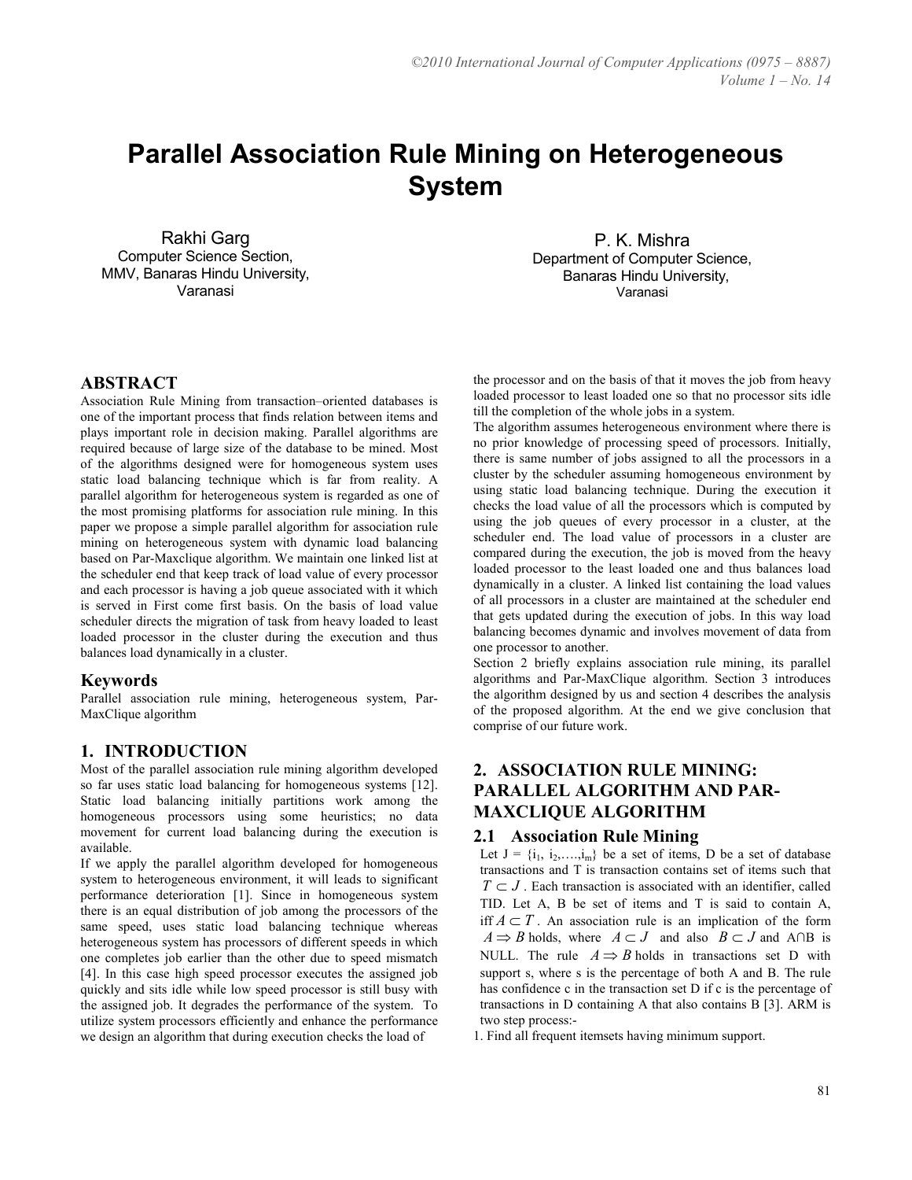# Parallel Association Rule Mining on Heterogeneous System

Rakhi Garg Computer Science Section, MMV, Banaras Hindu University, Varanasi

P. K. Mishra Department of Computer Science, Banaras Hindu University, Varanasi

#### ABSTRACT

Association Rule Mining from transaction–oriented databases is one of the important process that finds relation between items and plays important role in decision making. Parallel algorithms are required because of large size of the database to be mined. Most of the algorithms designed were for homogeneous system uses static load balancing technique which is far from reality. A parallel algorithm for heterogeneous system is regarded as one of the most promising platforms for association rule mining. In this paper we propose a simple parallel algorithm for association rule mining on heterogeneous system with dynamic load balancing based on Par-Maxclique algorithm. We maintain one linked list at the scheduler end that keep track of load value of every processor and each processor is having a job queue associated with it which is served in First come first basis. On the basis of load value scheduler directs the migration of task from heavy loaded to least loaded processor in the cluster during the execution and thus balances load dynamically in a cluster.

#### Keywords

Parallel association rule mining, heterogeneous system, Par-MaxClique algorithm

#### 1. INTRODUCTION

Most of the parallel association rule mining algorithm developed so far uses static load balancing for homogeneous systems [12]. Static load balancing initially partitions work among the homogeneous processors using some heuristics; no data movement for current load balancing during the execution is available.

If we apply the parallel algorithm developed for homogeneous system to heterogeneous environment, it will leads to significant performance deterioration [1]. Since in homogeneous system there is an equal distribution of job among the processors of the same speed, uses static load balancing technique whereas heterogeneous system has processors of different speeds in which one completes job earlier than the other due to speed mismatch [4]. In this case high speed processor executes the assigned job quickly and sits idle while low speed processor is still busy with the assigned job. It degrades the performance of the system. To utilize system processors efficiently and enhance the performance we design an algorithm that during execution checks the load of

the processor and on the basis of that it moves the job from heavy loaded processor to least loaded one so that no processor sits idle till the completion of the whole jobs in a system.

The algorithm assumes heterogeneous environment where there is no prior knowledge of processing speed of processors. Initially, there is same number of jobs assigned to all the processors in a cluster by the scheduler assuming homogeneous environment by using static load balancing technique. During the execution it checks the load value of all the processors which is computed by using the job queues of every processor in a cluster, at the scheduler end. The load value of processors in a cluster are compared during the execution, the job is moved from the heavy loaded processor to the least loaded one and thus balances load dynamically in a cluster. A linked list containing the load values of all processors in a cluster are maintained at the scheduler end that gets updated during the execution of jobs. In this way load balancing becomes dynamic and involves movement of data from one processor to another.

Section 2 briefly explains association rule mining, its parallel algorithms and Par-MaxClique algorithm. Section 3 introduces the algorithm designed by us and section 4 describes the analysis of the proposed algorithm. At the end we give conclusion that comprise of our future work.

## 2. ASSOCIATION RULE MINING: PARALLEL ALGORITHM AND PAR-MAXCLIQUE ALGORITHM

#### 2.1 Association Rule Mining

Let  $J = \{i_1, i_2, \ldots, i_m\}$  be a set of items, D be a set of database transactions and T is transaction contains set of items such that  $T \subset J$ . Each transaction is associated with an identifier, called TID. Let A, B be set of items and T is said to contain A, iff  $A \subset T$ . An association rule is an implication of the form  $A \Rightarrow B$  holds, where  $A \subset J$  and also  $B \subset J$  and A∩B is NULL. The rule  $A \Rightarrow B$  holds in transactions set D with support s, where s is the percentage of both A and B. The rule has confidence c in the transaction set D if c is the percentage of transactions in D containing A that also contains B [3]. ARM is two step process:-

1. Find all frequent itemsets having minimum support.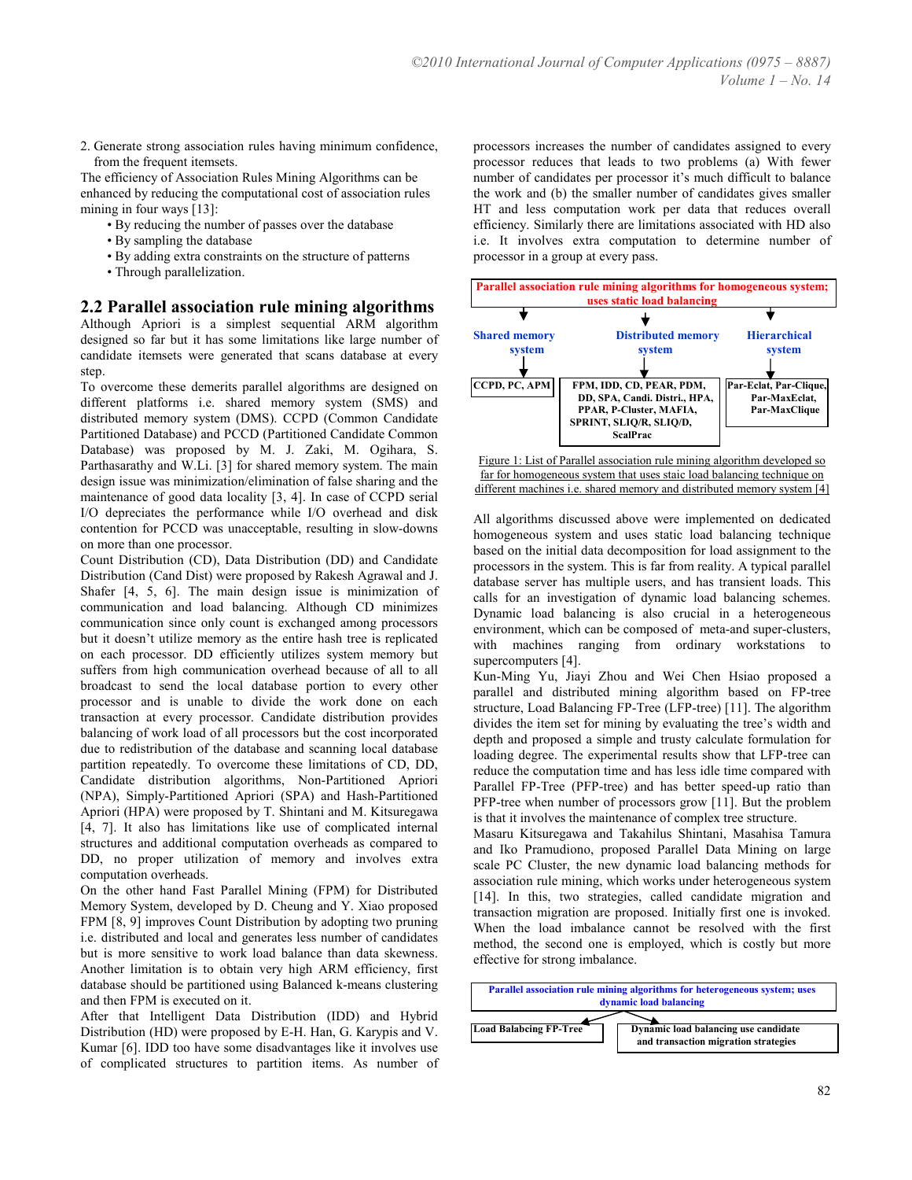2. Generate strong association rules having minimum confidence, from the frequent itemsets.

The efficiency of Association Rules Mining Algorithms can be enhanced by reducing the computational cost of association rules mining in four ways [13]:

- By reducing the number of passes over the database
- By sampling the database
- By adding extra constraints on the structure of patterns
- Through parallelization.

#### 2.2 Parallel association rule mining algorithms

Although Apriori is a simplest sequential ARM algorithm designed so far but it has some limitations like large number of candidate itemsets were generated that scans database at every step.

To overcome these demerits parallel algorithms are designed on different platforms i.e. shared memory system (SMS) and distributed memory system (DMS). CCPD (Common Candidate Partitioned Database) and PCCD (Partitioned Candidate Common Database) was proposed by M. J. Zaki, M. Ogihara, S. Parthasarathy and W.Li. [3] for shared memory system. The main design issue was minimization/elimination of false sharing and the maintenance of good data locality [3, 4]. In case of CCPD serial I/O depreciates the performance while I/O overhead and disk contention for PCCD was unacceptable, resulting in slow-downs on more than one processor.

Count Distribution (CD), Data Distribution (DD) and Candidate Distribution (Cand Dist) were proposed by Rakesh Agrawal and J. Shafer [4, 5, 6]. The main design issue is minimization of communication and load balancing. Although CD minimizes communication since only count is exchanged among processors but it doesn't utilize memory as the entire hash tree is replicated on each processor. DD efficiently utilizes system memory but suffers from high communication overhead because of all to all broadcast to send the local database portion to every other processor and is unable to divide the work done on each transaction at every processor. Candidate distribution provides balancing of work load of all processors but the cost incorporated due to redistribution of the database and scanning local database partition repeatedly. To overcome these limitations of CD, DD, Candidate distribution algorithms, Non-Partitioned Apriori (NPA), Simply-Partitioned Apriori (SPA) and Hash-Partitioned Apriori (HPA) were proposed by T. Shintani and M. Kitsuregawa [4, 7]. It also has limitations like use of complicated internal structures and additional computation overheads as compared to DD, no proper utilization of memory and involves extra computation overheads.

On the other hand Fast Parallel Mining (FPM) for Distributed Memory System, developed by D. Cheung and Y. Xiao proposed FPM [8, 9] improves Count Distribution by adopting two pruning i.e. distributed and local and generates less number of candidates but is more sensitive to work load balance than data skewness. Another limitation is to obtain very high ARM efficiency, first database should be partitioned using Balanced k-means clustering and then FPM is executed on it.

After that Intelligent Data Distribution (IDD) and Hybrid Distribution (HD) were proposed by E-H. Han, G. Karypis and V. Kumar [6]. IDD too have some disadvantages like it involves use of complicated structures to partition items. As number of processors increases the number of candidates assigned to every processor reduces that leads to two problems (a) With fewer number of candidates per processor it's much difficult to balance the work and (b) the smaller number of candidates gives smaller HT and less computation work per data that reduces overall efficiency. Similarly there are limitations associated with HD also i.e. It involves extra computation to determine number of processor in a group at every pass.



Figure 1: List of Parallel association rule mining algorithm developed so far for homogeneous system that uses staic load balancing technique on different machines i.e. shared memory and distributed memory system [4]

All algorithms discussed above were implemented on dedicated homogeneous system and uses static load balancing technique based on the initial data decomposition for load assignment to the processors in the system. This is far from reality. A typical parallel database server has multiple users, and has transient loads. This calls for an investigation of dynamic load balancing schemes. Dynamic load balancing is also crucial in a heterogeneous environment, which can be composed of meta-and super-clusters, with machines ranging from ordinary workstations to supercomputers [4].

Kun-Ming Yu, Jiayi Zhou and Wei Chen Hsiao proposed a parallel and distributed mining algorithm based on FP-tree structure, Load Balancing FP-Tree (LFP-tree) [11]. The algorithm divides the item set for mining by evaluating the tree's width and depth and proposed a simple and trusty calculate formulation for loading degree. The experimental results show that LFP-tree can reduce the computation time and has less idle time compared with Parallel FP-Tree (PFP-tree) and has better speed-up ratio than PFP-tree when number of processors grow [11]. But the problem is that it involves the maintenance of complex tree structure.

Masaru Kitsuregawa and Takahilus Shintani, Masahisa Tamura and Iko Pramudiono, proposed Parallel Data Mining on large scale PC Cluster, the new dynamic load balancing methods for association rule mining, which works under heterogeneous system [14]. In this, two strategies, called candidate migration and transaction migration are proposed. Initially first one is invoked. When the load imbalance cannot be resolved with the first method, the second one is employed, which is costly but more effective for strong imbalance.

| <b>Parallel association rule mining algorithms for heterogeneous system; uses</b><br>dynamic load balancing |                                                                              |  |  |  |  |  |
|-------------------------------------------------------------------------------------------------------------|------------------------------------------------------------------------------|--|--|--|--|--|
|                                                                                                             |                                                                              |  |  |  |  |  |
| <b>Load Balabcing FP-Tree</b>                                                                               | Dynamic load balancing use candidate<br>and transaction migration strategies |  |  |  |  |  |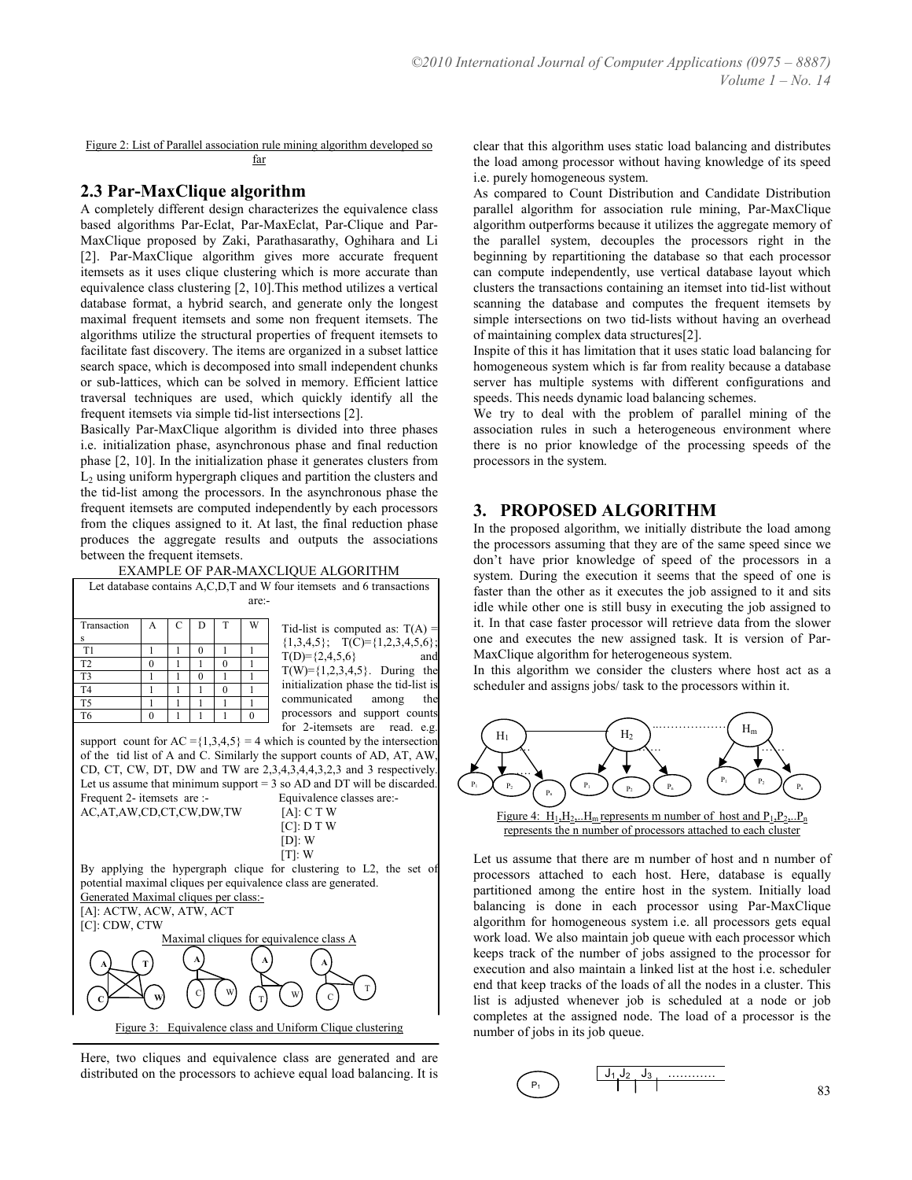Figure 2: List of Parallel association rule mining algorithm developed so far

#### 2.3 Par-MaxClique algorithm

A completely different design characterizes the equivalence class based algorithms Par-Eclat, Par-MaxEclat, Par-Clique and Par-MaxClique proposed by Zaki, Parathasarathy, Oghihara and Li [2]. Par-MaxClique algorithm gives more accurate frequent itemsets as it uses clique clustering which is more accurate than equivalence class clustering [2, 10].This method utilizes a vertical database format, a hybrid search, and generate only the longest maximal frequent itemsets and some non frequent itemsets. The algorithms utilize the structural properties of frequent itemsets to facilitate fast discovery. The items are organized in a subset lattice search space, which is decomposed into small independent chunks or sub-lattices, which can be solved in memory. Efficient lattice traversal techniques are used, which quickly identify all the frequent itemsets via simple tid-list intersections [2].

Basically Par-MaxClique algorithm is divided into three phases i.e. initialization phase, asynchronous phase and final reduction phase [2, 10]. In the initialization phase it generates clusters from  $L_2$  using uniform hypergraph cliques and partition the clusters and the tid-list among the processors. In the asynchronous phase the frequent itemsets are computed independently by each processors from the cliques assigned to it. At last, the final reduction phase produces the aggregate results and outputs the associations between the frequent itemsets.

EXAMPLE OF PAR-MAXCLIQUE ALGORITHM

| EARINI LE OF FAR-MAACLIQUE ALGONITHM                                          |               |        |               |              |              |                                         |  |
|-------------------------------------------------------------------------------|---------------|--------|---------------|--------------|--------------|-----------------------------------------|--|
| Let database contains A,C,D,T and W four itemsets and 6 transactions          |               |        |               |              |              |                                         |  |
| are:-                                                                         |               |        |               |              |              |                                         |  |
|                                                                               |               |        |               |              |              |                                         |  |
| Transaction                                                                   | A             | C      | D             | T            | W            | Tid-list is computed as: $T(A) =$       |  |
| Ś                                                                             | 1             |        |               | 1            | $\mathbf{1}$ | $\{1,3,4,5\};$ T(C)= $\{1,2,3,4,5,6\};$ |  |
| T1<br>T <sub>2</sub>                                                          |               | 1<br>1 | $\theta$<br>1 | $\theta$     | 1            | $T(D)=\{2,4,5,6\}$<br>andl              |  |
| T <sub>3</sub>                                                                | $\theta$<br>1 | 1      | $\theta$      | $\mathbf{1}$ | 1            | $T(W)=\{1,2,3,4,5\}$ . During the       |  |
| T <sub>4</sub>                                                                | 1             | 1      | 1             | $\theta$     | 1            | initialization phase the tid-list is    |  |
| T <sub>5</sub>                                                                | 1             | 1      | 1             | 1            | 1            | communicated<br>the<br>among            |  |
| T <sub>6</sub>                                                                | $\theta$      | 1      | 1             | 1            | $\theta$     | processors and support counts           |  |
|                                                                               |               |        |               |              |              | for 2-itemsets are read. e.g.           |  |
| support count for $AC = \{1,3,4,5\} = 4$ which is counted by the intersection |               |        |               |              |              |                                         |  |
| of the tid list of A and C. Similarly the support counts of AD, AT, AW,       |               |        |               |              |              |                                         |  |
| CD, CT, CW, DT, DW and TW are 2,3,4,3,4,4,3,2,3 and 3 respectively.           |               |        |               |              |              |                                         |  |
| Let us assume that minimum support $=$ 3 so AD and DT will be discarded.      |               |        |               |              |              |                                         |  |
| Frequent 2- itemsets are :-<br>Equivalence classes are:-                      |               |        |               |              |              |                                         |  |
| AC,AT,AW,CD,CT,CW,DW,TW<br>$[A]$ : C T W                                      |               |        |               |              |              |                                         |  |
| $[C]$ : D T W                                                                 |               |        |               |              |              |                                         |  |
|                                                                               |               |        |               |              |              |                                         |  |
| $[D]$ : W                                                                     |               |        |               |              |              |                                         |  |
| $[T]$ : W                                                                     |               |        |               |              |              |                                         |  |
| By applying the hypergraph clique for clustering to L2, the set of            |               |        |               |              |              |                                         |  |
| potential maximal cliques per equivalence class are generated.                |               |        |               |              |              |                                         |  |
| Generated Maximal cliques per class:-                                         |               |        |               |              |              |                                         |  |
| [A]: ACTW, ACW, ATW, ACT                                                      |               |        |               |              |              |                                         |  |
| [C]: CDW, CTW                                                                 |               |        |               |              |              |                                         |  |
| Maximal cliques for equivalence class A                                       |               |        |               |              |              |                                         |  |
| А<br>A                                                                        |               |        |               |              |              |                                         |  |
| А<br>т                                                                        |               |        |               |              |              |                                         |  |
|                                                                               |               |        |               |              |              |                                         |  |



Here, two cliques and equivalence class are generated and are distributed on the processors to achieve equal load balancing. It is clear that this algorithm uses static load balancing and distributes the load among processor without having knowledge of its speed i.e. purely homogeneous system.

As compared to Count Distribution and Candidate Distribution parallel algorithm for association rule mining, Par-MaxClique algorithm outperforms because it utilizes the aggregate memory of the parallel system, decouples the processors right in the beginning by repartitioning the database so that each processor can compute independently, use vertical database layout which clusters the transactions containing an itemset into tid-list without scanning the database and computes the frequent itemsets by simple intersections on two tid-lists without having an overhead of maintaining complex data structures[2].

Inspite of this it has limitation that it uses static load balancing for homogeneous system which is far from reality because a database server has multiple systems with different configurations and speeds. This needs dynamic load balancing schemes.

We try to deal with the problem of parallel mining of the association rules in such a heterogeneous environment where there is no prior knowledge of the processing speeds of the processors in the system.

#### 3. PROPOSED ALGORITHM

In the proposed algorithm, we initially distribute the load among the processors assuming that they are of the same speed since we don't have prior knowledge of speed of the processors in a system. During the execution it seems that the speed of one is faster than the other as it executes the job assigned to it and sits idle while other one is still busy in executing the job assigned to it. In that case faster processor will retrieve data from the slower one and executes the new assigned task. It is version of Par-MaxClique algorithm for heterogeneous system.

In this algorithm we consider the clusters where host act as a scheduler and assigns jobs/ task to the processors within it.



Let us assume that there are m number of host and n number of processors attached to each host. Here, database is equally partitioned among the entire host in the system. Initially load balancing is done in each processor using Par-MaxClique algorithm for homogeneous system i.e. all processors gets equal work load. We also maintain job queue with each processor which keeps track of the number of jobs assigned to the processor for execution and also maintain a linked list at the host i.e. scheduler end that keep tracks of the loads of all the nodes in a cluster. This list is adjusted whenever job is scheduled at a node or job completes at the assigned node. The load of a processor is the number of jobs in its job queue.

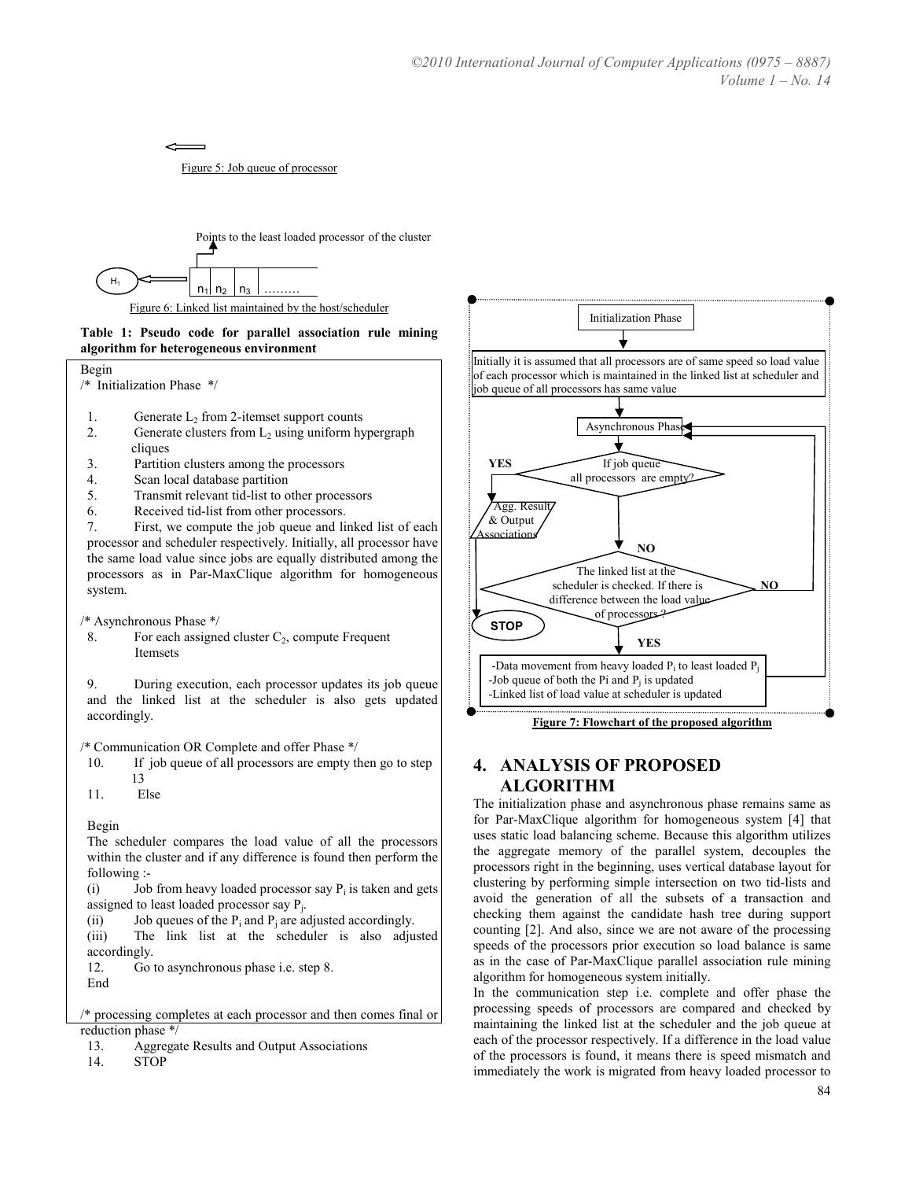Figure 5: Job queue of processor

 $\overline{\phantom{0}}$ 



#### Table 1: Pseudo code for parallel association rule mining algorithm for heterogeneous environment



- 1. Generate  $L_2$  from 2-itemset support counts
- 2. Generate clusters from  $L_2$  using uniform hypergraph cliques
- 3. Partition clusters among the processors
- 4. Scan local database partition
- 5. Transmit relevant tid-list to other processors
- 6. Received tid-list from other processors.

7. First, we compute the job queue and linked list of each processor and scheduler respectively. Initially, all processor have the same load value since jobs are equally distributed among the processors as in Par-MaxClique algorithm for homogeneous system.

/\* Asynchronous Phase \*/

8. For each assigned cluster  $C_2$ , compute Frequent Itemsets

9. During execution, each processor updates its job queue and the linked list at the scheduler is also gets updated accordingly.

/\* Communication OR Complete and offer Phase \*/

- 10. If job queue of all processors are empty then go to step 13
- 11. Else

Begin

The scheduler compares the load value of all the processors within the cluster and if any difference is found then perform the following :-

(i) Job from heavy loaded processor say  $P_i$  is taken and gets assigned to least loaded processor say  $P_j$ .

(ii) Job queues of the  $P_i$  and  $P_j$  are adjusted accordingly.

(iii) The link list at the scheduler is also adjusted accordingly.

12. Go to asynchronous phase i.e. step 8. End

/\* processing completes at each processor and then comes final or reduction phase \*/

- 13. Aggregate Results and Output Associations
- 14. STOP



#### Figure 7: Flowchart of the proposed algorithm

## 4. ANALYSIS OF PROPOSED ALGORITHM

The initialization phase and asynchronous phase remains same as for Par-MaxClique algorithm for homogeneous system [4] that uses static load balancing scheme. Because this algorithm utilizes the aggregate memory of the parallel system, decouples the processors right in the beginning, uses vertical database layout for clustering by performing simple intersection on two tid-lists and avoid the generation of all the subsets of a transaction and checking them against the candidate hash tree during support counting [2]. And also, since we are not aware of the processing speeds of the processors prior execution so load balance is same as in the case of Par-MaxClique parallel association rule mining algorithm for homogeneous system initially.

In the communication step i.e. complete and offer phase the processing speeds of processors are compared and checked by maintaining the linked list at the scheduler and the job queue at each of the processor respectively. If a difference in the load value of the processors is found, it means there is speed mismatch and immediately the work is migrated from heavy loaded processor to